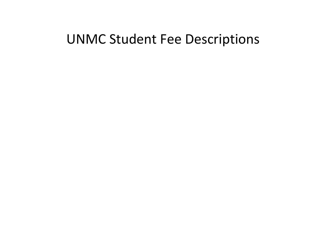# UNMC Student Fee Descriptions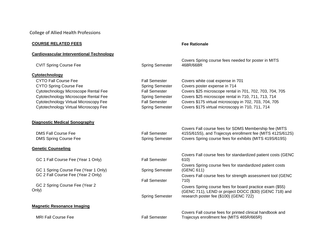College of Allied Health Professions

# **COURSE RELATED FEES FEES FEES FEES FEE Rationale**

#### **Cardiovascular Interventional Technology**

| <b>CVIT Spring Course Fee</b>           | <b>Spring Semester</b> | Covers Spring course fees needed for poster in MITS<br>468R/668R                                                                                             |
|-----------------------------------------|------------------------|--------------------------------------------------------------------------------------------------------------------------------------------------------------|
| Cytotechnology                          |                        |                                                                                                                                                              |
| <b>CYTO Fall Course Fee</b>             | <b>Fall Semester</b>   | Covers white coat expense in 701                                                                                                                             |
| <b>CYTO Spring Course Fee</b>           | <b>Spring Semester</b> | Covers poster expense in 714                                                                                                                                 |
| Cytotechnology Microscope Rental Fee    | <b>Fall Semester</b>   | Covers \$25 microscope rental in 701, 702, 703, 704, 705                                                                                                     |
| Cytotechnology Microscope Rental Fee    | <b>Spring Semester</b> | Covers \$25 microscope rental in 710, 711, 713, 714                                                                                                          |
| Cytotechnology Virtual Microscopy Fee   | <b>Fall Semester</b>   | Covers \$175 virtual microscopy in 702, 703, 704, 705                                                                                                        |
| Cytotechnology Virtual Microscopy Fee   | <b>Spring Semester</b> | Covers \$175 virtual microscopy in 710, 711, 714                                                                                                             |
| <b>Diagnostic Medical Sonography</b>    |                        |                                                                                                                                                              |
|                                         |                        | Covers Fall course fees for SDMS Membership fee (MITS                                                                                                        |
| <b>DMS Fall Course Fee</b>              | <b>Fall Semester</b>   | 415S/615S), and Trajecsys enrollment fee (MITS 412S/612S)                                                                                                    |
| <b>DMS Spring Course Fee</b>            | <b>Spring Semester</b> | Covers Spring course fees for exhibits (MITS 419S/619S)                                                                                                      |
| <b>Genetic Counseling</b>               |                        |                                                                                                                                                              |
| GC 1 Fall Course Fee (Year 1 Only)      | <b>Fall Semester</b>   | Covers Fall course fees for standardized patient costs (GENC<br>610)                                                                                         |
| GC 1 Spring Course Fee (Year 1 Only)    | <b>Spring Semester</b> | Covers Spring course fees for standardized patient costs<br>(GENC 611)                                                                                       |
| GC 2 Fall Course Fee (Year 2 Only)      | <b>Fall Semester</b>   | Covers Fall course fees for strength assessment tool (GENC<br>710)                                                                                           |
| GC 2 Spring Course Fee (Year 2<br>Only) | <b>Spring Semester</b> | Covers Spring course fees for board practice exam (\$55)<br>(GENC 711), LEND or project DOCC (\$30) (GENC 718) and<br>research poster fee (\$100) (GENC 722) |
| <b>Magnetic Resonance Imaging</b>       |                        |                                                                                                                                                              |
|                                         |                        | Covers Fall course fees for printed clinical handbook and                                                                                                    |
| <b>MRI Fall Course Fee</b>              | <b>Fall Semester</b>   | Trajecsys enrollment fee (MITS 465R/665R)                                                                                                                    |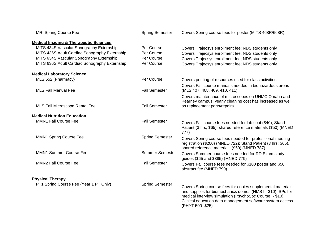| <b>MRI Spring Course Fee</b>                      | <b>Spring Semester</b> | Covers Spring course fees for poster (MITS 468R/668R)                                                                                                                                                                                                                  |
|---------------------------------------------------|------------------------|------------------------------------------------------------------------------------------------------------------------------------------------------------------------------------------------------------------------------------------------------------------------|
| <b>Medical Imaging &amp; Therapeutic Sciences</b> |                        |                                                                                                                                                                                                                                                                        |
| MITS 434S Vascular Sonography Externship          | Per Course             | Covers Trajecsys enrollment fee; NDS students only                                                                                                                                                                                                                     |
| MITS 436S Adult Cardiac Sonography Externship     | Per Course             | Covers Trajecsys enrollment fee; NDS students only                                                                                                                                                                                                                     |
| MITS 634S Vascular Sonography Externship          | Per Course             | Covers Trajecsys enrollment fee; NDS students only                                                                                                                                                                                                                     |
| MITS 636S Adult Cardiac Sonography Externship     | Per Course             | Covers Trajecsys enrollment fee; NDS students only                                                                                                                                                                                                                     |
| <b>Medical Laboratory Science</b>                 |                        |                                                                                                                                                                                                                                                                        |
| MLS 552 (Pharmacy)                                | Per Course             | Covers printing of resources used for class activities                                                                                                                                                                                                                 |
| <b>MLS Fall Manual Fee</b>                        | <b>Fall Semester</b>   | Covers Fall course manuals needed in biohazardous areas<br>(MLS 407, 408, 409, 410, 411)                                                                                                                                                                               |
| MLS Fall Microscope Rental Fee                    | <b>Fall Semester</b>   | Covers maintenance of microscopes on UNMC Omaha and<br>Kearney campus; yearly cleaning cost has increased as well<br>as replacement parts/repairs                                                                                                                      |
|                                                   |                        |                                                                                                                                                                                                                                                                        |
| <b>Medical Nutrition Education</b>                |                        |                                                                                                                                                                                                                                                                        |
| <b>MMN1 Fall Course Fee</b>                       | <b>Fall Semester</b>   | Covers Fall course fees needed for lab coat (\$40), Stand<br>Patient (3 hrs; \$65), shared reference materials (\$50) (MNED<br>777)                                                                                                                                    |
| MMN1 Spring Course Fee                            | <b>Spring Semester</b> | Covers Spring course fees needed for professional meeting<br>registration (\$200) (MNED 722); Stand Patient (3 hrs; \$65),<br>shared reference materials (\$50) (MNED 787)                                                                                             |
| <b>MMN1 Summer Course Fee</b>                     | <b>Summer Semester</b> | Covers Summer course fees needed for RD Exam study<br>guides (\$65 and \$385) (MNED 779)                                                                                                                                                                               |
| <b>MMN2 Fall Course Fee</b>                       | <b>Fall Semester</b>   | Covers Fall course fees needed for \$100 poster and \$50<br>abstract fee (MNED 790)                                                                                                                                                                                    |
| <b>Physical Therapy</b>                           |                        |                                                                                                                                                                                                                                                                        |
| PT1 Spring Course Fee (Year 1 PT Only)            | <b>Spring Semester</b> | Covers Spring course fees for copies supplemental materials<br>and supplies for biomechanics demos (HMS II- \$10); SPs for<br>medical interview simulation (PsychoSoc Course I- \$10);<br>Clinical education data management software system access<br>(PHYT 500-\$25) |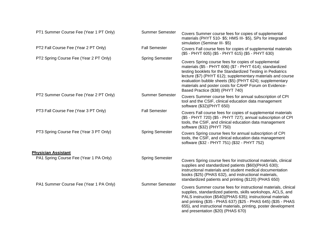| PT1 Summer Course Fee (Year 1 PT Only) | <b>Summer Semester</b> | Covers Summer course fees for copies of supplemental<br>materials (PHYT 510- \$5; HMS III- \$5), SPs for integrated<br>simulation (Seminar III-\$5)                                                                                                                                                                                                                                                        |
|----------------------------------------|------------------------|------------------------------------------------------------------------------------------------------------------------------------------------------------------------------------------------------------------------------------------------------------------------------------------------------------------------------------------------------------------------------------------------------------|
| PT2 Fall Course Fee (Year 2 PT Only)   | <b>Fall Semester</b>   | Covers Fall course fees for copies of supplemental materials<br>(\$5 - PHYT 605) (\$5 - PHYT 615) (\$5 - PHYT 630)                                                                                                                                                                                                                                                                                         |
| PT2 Spring Course Fee (Year 2 PT Only) | <b>Spring Semester</b> | Covers Spring course fees for copies of supplemental<br>materials (\$5 - PHYT 606) (\$7 - PHYT 614); standardized<br>testing booklets for the Standardized Testing in Pediatrics<br>lecture (\$7) (PHYT 612); supplementary materials and course<br>evaluation bubble sheets (\$5) (PHYT 624); supplementary<br>materials and poster costs for CAHP Forum on Evidence-<br>Based Practice (\$38) (PHYT 740) |
| PT2 Summer Course Fee (Year 2 PT Only) | <b>Summer Semester</b> | Covers Summer course fees for annual subscription of CPI<br>tool and the CSIF, clinical education data management<br>software (\$32)(PHYT 650)                                                                                                                                                                                                                                                             |
| PT3 Fall Course Fee (Year 3 PT Only)   | <b>Fall Semester</b>   | Covers Fall course fees for copies of supplemental materials<br>(\$5 - PHYT 720) (\$5 - PHYT 727); annual subscription of CPI<br>tools, the CSIF, and clinical education data management<br>software (\$32) (PHYT 750)                                                                                                                                                                                     |
| PT3 Spring Course Fee (Year 3 PT Only) | <b>Spring Semester</b> | Covers Spring course fees for annual subscription of CPI<br>tools, the CSIF, and clinical education data management<br>software (\$32 - PHYT 751) (\$32 - PHYT 752)                                                                                                                                                                                                                                        |
| <b>Physician Assistant</b>             |                        |                                                                                                                                                                                                                                                                                                                                                                                                            |
| PA1 Spring Course Fee (Year 1 PA Only) | <b>Spring Semester</b> | Covers Spring course fees for instructional materials, clinical<br>supplies and standardized patients (\$60)(PHAS 630);<br>instructional materials and student medical documentation<br>books (\$25) (PHAS 632), and instructional materials,<br>standardized patients and printing (\$120) (PHAS 650)                                                                                                     |
| PA1 Summer Course Fee (Year 1 PA Only) | <b>Summer Semester</b> | Covers Summer course fees for instructional materials, clinical<br>supplies, standardized patients, skills workshops, ACLS, and<br>PALS instruction (\$540)(PHAS 635); instructional materials<br>and printing (\$35 - PHAS 637) (\$25 - PHAS 645) (\$35 - PHAS<br>655), and instructional materials, printing, poster development<br>and presentation (\$20) (PHAS 670)                                   |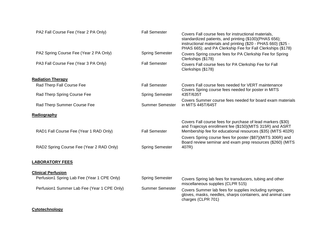| PA2 Fall Course Fee (Year 2 PA Only)        | <b>Fall Semester</b>   | Covers Fall course fees for instructional materials,<br>standardized patients, and printing (\$100)(PHAS 656);<br>instructional materials and printing (\$20 - PHAS 660) (\$25 -<br>PHAS 665); and PA Clerkship Fee for Fall Clerkships (\$178) |
|---------------------------------------------|------------------------|-------------------------------------------------------------------------------------------------------------------------------------------------------------------------------------------------------------------------------------------------|
| PA2 Spring Course Fee (Year 2 PA Only)      | <b>Spring Semester</b> | Covers Spring course fees for PA Clerkship Fee for Spring<br>Clerkships (\$178)                                                                                                                                                                 |
| PA3 Fall Course Fee (Year 3 PA Only)        | <b>Fall Semester</b>   | Covers Fall course fees for PA Clerkship Fee for Fall<br>Clerkships (\$178)                                                                                                                                                                     |
| <b>Radiation Therapy</b>                    |                        |                                                                                                                                                                                                                                                 |
| Rad Therp Fall Course Fee                   | <b>Fall Semester</b>   | Covers Fall course fees needed for VERT maintenance<br>Covers Spring course fees needed for poster in MITS                                                                                                                                      |
| Rad Therp Spring Course Fee                 | <b>Spring Semester</b> | 435T/635T                                                                                                                                                                                                                                       |
| Rad Therp Summer Course Fee                 | <b>Summer Semester</b> | Covers Summer course fees needed for board exam materials<br>in MITS 445T/645T                                                                                                                                                                  |
| Radiography                                 |                        |                                                                                                                                                                                                                                                 |
| RAD1 Fall Course Fee (Year 1 RAD Only)      | <b>Fall Semester</b>   | Covers Fall course fees for purchase of lead markers (\$30)<br>and Trajecsys enrollment fee (\$150)(MITS 315R) and ASRT<br>Membership fee for educational resources (\$35) (MITS 402R)                                                          |
|                                             |                        | Covers Spring course fees for poster (\$87)(MITS 306R) and<br>Board review seminar and exam prep resources (\$260) (MITS                                                                                                                        |
| RAD2 Spring Course Fee (Year 2 RAD Only)    | <b>Spring Semester</b> | 407R)                                                                                                                                                                                                                                           |
| <b>LABORATORY FEES</b>                      |                        |                                                                                                                                                                                                                                                 |
| <b>Clinical Perfusion</b>                   |                        |                                                                                                                                                                                                                                                 |
| Perfusion1 Spring Lab Fee (Year 1 CPE Only) | <b>Spring Semester</b> | Covers Spring lab fees for transducers, tubing and other<br>miscellaneous supplies (CLPR 515)                                                                                                                                                   |
| Perfusion1 Summer Lab Fee (Year 1 CPE Only) | <b>Summer Semester</b> | Covers Summer lab fees for supplies including syringes,<br>gloves, masks, needles, sharps containers, and animal care<br>charges (CLPR 701)                                                                                                     |
|                                             |                        |                                                                                                                                                                                                                                                 |

# **Cytotechnology**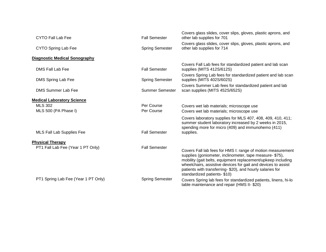| <b>Fall Semester</b>   | Covers glass slides, cover slips, gloves, plastic aprons, and<br>other lab supplies for 701                                                                                                                                                                                                                                                           |
|------------------------|-------------------------------------------------------------------------------------------------------------------------------------------------------------------------------------------------------------------------------------------------------------------------------------------------------------------------------------------------------|
| <b>Spring Semester</b> | Covers glass slides, cover slips, gloves, plastic aprons, and<br>other lab supplies for 714                                                                                                                                                                                                                                                           |
|                        |                                                                                                                                                                                                                                                                                                                                                       |
| <b>Fall Semester</b>   | Covers Fall Lab fees for standardized patient and lab scan<br>supplies (MITS 412S/612S)                                                                                                                                                                                                                                                               |
| <b>Spring Semester</b> | Covers Spring Lab fees for standardized patient and lab scan<br>supplies (MITS 402S/602S)                                                                                                                                                                                                                                                             |
| <b>Summer Semester</b> | Covers Summer Lab fees for standardized patient and lab<br>scan supplies (MITS 452S/652S)                                                                                                                                                                                                                                                             |
|                        |                                                                                                                                                                                                                                                                                                                                                       |
| Per Course             | Covers wet lab materials; microscope use                                                                                                                                                                                                                                                                                                              |
| Per Course             | Covers wet lab materials; microscope use                                                                                                                                                                                                                                                                                                              |
|                        | Covers laboratory supplies for MLS 407, 408, 409, 410, 411;<br>summer student laboratory increased by 2 weeks in 2015,<br>spending more for micro (409) and immunohemo (411)                                                                                                                                                                          |
| <b>Fall Semester</b>   | supplies.                                                                                                                                                                                                                                                                                                                                             |
|                        |                                                                                                                                                                                                                                                                                                                                                       |
| <b>Fall Semester</b>   | Covers Fall lab fees for HMS I: range of motion measurement<br>supplies (goniometer, inclinometer, tape measure- \$75),<br>mobility (gait belts, equipment replacement/upkeep including<br>wheelchairs, assistive devices for gait and devices to assist<br>patients with transferring- \$20), and hourly salaries for<br>standardized patients-\$10) |
| <b>Spring Semester</b> | Covers Spring lab fees for standardized patients, linens, hi-lo<br>table maintenance and repair (HMS II- \$20)                                                                                                                                                                                                                                        |
|                        |                                                                                                                                                                                                                                                                                                                                                       |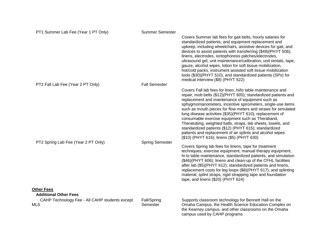| PT1 Summer Lab Fee (Year 1 PT Only)               | <b>Summer Semester</b> |                                                                                                                                                                                                                                                                                                                                                                                                                                                                                                                                                                                                                                                                     |
|---------------------------------------------------|------------------------|---------------------------------------------------------------------------------------------------------------------------------------------------------------------------------------------------------------------------------------------------------------------------------------------------------------------------------------------------------------------------------------------------------------------------------------------------------------------------------------------------------------------------------------------------------------------------------------------------------------------------------------------------------------------|
|                                                   |                        | Covers Summer lab fees for gait belts, hourly salaries for<br>standardized patients, and equipment replacement and<br>upkeep, including wheelchairs, assistive devices for gait, and<br>devices to assist patients with transferring (\$48)(PHYT 506);<br>linens, electrodes, iontophoresis patches/electrodes,<br>ultrasound gel, unit maintenance/calibration, unit rentals, tape,<br>gauze, alcohol wipes, lotion for soft tissue mobilization,<br>hot/cold packs, instrument assisted soft tissue mobilization<br>tools (\$30)(PHYT 510), and standardized patients (SPs) for<br>medical interview (\$8) (PHYT 522)                                             |
| PT2 Fall Lab Fee (Year 2 PT Only)                 | <b>Fall Semester</b>   |                                                                                                                                                                                                                                                                                                                                                                                                                                                                                                                                                                                                                                                                     |
|                                                   |                        | Covers Fall lab fees for linen, hi/lo table maintenance and<br>repair, mob belts (\$12)(PHYT 605); standardized patients and<br>replacement and maintenance of equipment such as<br>sphygmomanometers, incentive spirometers, single-use items<br>such as mouth pieces for flow meters and straws for simulated<br>lung disease activities (\$35)(PHYT 610); replacement of<br>consumable exercise equipment such as Theraband,<br>Theratubing, weighted balls, straps, lab sheets, towels, and<br>standardized patients (\$12) (PHYT 615); standardized<br>patients and replacement of air splints and alcohol wipes<br>(\$10) (PHYT 616); linens (\$5) (PHYT 630) |
| PT2 Spring Lab Fee (Year 2 PT Only)               | <b>Spring Semester</b> |                                                                                                                                                                                                                                                                                                                                                                                                                                                                                                                                                                                                                                                                     |
|                                                   |                        | Covers Spring lab fees for linens, tape for treatment<br>techniques, exercise equipment, manual therapy equipment,<br>hi-lo table maintenance, standardized patients, and simulation<br>(\$46)(PHYT 606); linens and clean-up of the CFHL facilities<br>after lab (\$5)(PHYT 612); standardized patients and linens,<br>replacement costs for leg loops (\$8)(PHYT 617), and splinting<br>material, splint straps, rigid strapping tape and foundation<br>tape, and linens (\$20) (PHYT 624)                                                                                                                                                                        |
| <b>Other Fees</b><br><b>Additional Other Fees</b> |                        |                                                                                                                                                                                                                                                                                                                                                                                                                                                                                                                                                                                                                                                                     |
| CAHP Technology Fee - All CAHP students except    | Fall/Spring            | Supports classroom technology for Bennett Hall on the                                                                                                                                                                                                                                                                                                                                                                                                                                                                                                                                                                                                               |
| <b>MLS</b>                                        | Semester               | Omaha Campus, the Health Science Education Complex on<br>the Kearney campus, and other classrooms on the Omaha<br>campus used by CAHP programs                                                                                                                                                                                                                                                                                                                                                                                                                                                                                                                      |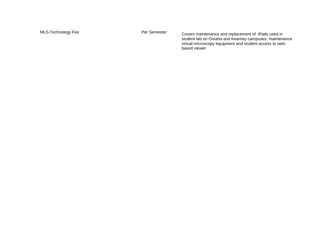MLS-Technology Fee **Per Semester** Covers maintenance and replacement of iPads used in student lab on Omaha and Kearney campuses; maintenance virtual microscopy equipment and student access to web based viewer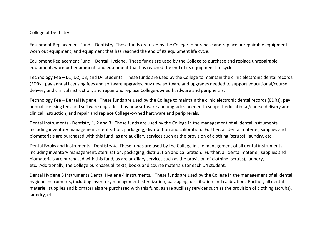#### College of Dentistry

Equipment Replacement Fund – Dentistry. These funds are used by the College to purchase and replace unrepairable equipment, worn out equipment, and equipment that has reached the end of its equipment life cycle.

Equipment Replacement Fund – Dental Hygiene. These funds are used by the College to purchase and replace unrepairable equipment, worn out equipment, and equipment that has reached the end of its equipment life cycle.

Technology Fee – D1, D2, D3, and D4 Students. These funds are used by the College to maintain the clinic electronic dental records (EDRs), pay annual licensing fees and software upgrades, buy new software and upgrades needed to support educational/course delivery and clinical instruction, and repair and replace College-owned hardware and peripherals.

Technology Fee – Dental Hygiene. These funds are used by the College to maintain the clinic electronic dental records (EDRs), pay annual licensing fees and software upgrades, buy new software and upgrades needed to support educational/course delivery and clinical instruction, and repair and replace College-owned hardware and peripherals.

Dental Instruments - Dentistry 1, 2 and 3. These funds are used by the College in the management of all dental instruments, including inventory management, sterilization, packaging, distribution and calibration. Further, all dental materiel, supplies and biomaterials are purchased with this fund, as are auxiliary services such as the provision of clothing (scrubs), laundry, etc.

Dental Books and Instruments - Dentistry 4. These funds are used by the College in the management of all dental instruments, including inventory management, sterilization, packaging, distribution and calibration. Further, all dental materiel, supplies and biomaterials are purchased with this fund, as are auxiliary services such as the provision of clothing (scrubs), laundry, etc. Additionally, the College purchases all texts, books and course materials for each D4 student.

Dental Hygiene 3 Instruments Dental Hygiene 4 Instruments. These funds are used by the College in the management of all dental hygiene instruments, including inventory management, sterilization, packaging, distribution and calibration. Further, all dental materiel, supplies and biomaterials are purchased with this fund, as are auxiliary services such as the provision of clothing (scrubs), laundry, etc.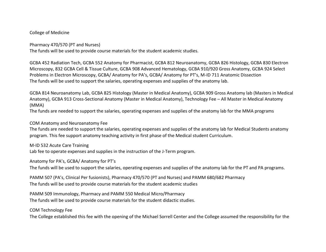#### College of Medicine

Pharmacy 470/570 (PT and Nurses)

The funds will be used to provide course materials for the student academic studies.

GCBA 452 Radiation Tech, GCBA 552 Anatomy for Pharmacist, GCBA 812 Neuroanatomy, GCBA 826 Histology, GCBA 830 Electron Microscopy, 832 GCBA Cell & Tissue Culture, GCBA 908 Advanced Hematology, GCBA 910/920 Gross Anatomy, GCBA 924 Select Problems in Electron Microscopy, GCBA/ Anatomy for PA's, GCBA/ Anatomy for PT's, M-ID 711 Anatomic Dissection The funds will be used to support the salaries, operating expenses and supplies of the anatomy lab.

GCBA 814 Neuroanatomy Lab, GCBA 825 Histology (Master in Medical Anatomy), GCBA 909 Gross Anatomy lab (Masters in Medical Anatomy), GCBA 913 Cross-Sectional Anatomy (Master in Medical Anatomy), Technology Fee – All Master in Medical Anatomy (MMA)

The funds are needed to support the salaries, operating expenses and supplies of the anatomy lab for the MMA programs

# COM Anatomy and Neuroanatomy Fee

The funds are needed to support the salaries, operating expenses and supplies of the anatomy lab for Medical Students anatomy program. This fee support anatomy teaching activity in first phase of the Medical student Curriculum.

M-ID 532 Acute Care Training

Lab fee to operate expenses and supplies in the instruction of the J-Term program.

Anatomy for PA's, GCBA/ Anatomy for PT's

The funds will be used to support the salaries, operating expenses and supplies of the anatomy lab for the PT and PA programs.

PAMM 507 (PA's, Clinical Per fusionists), Pharmacy 470/570 (PT and Nurses) and PAMM 680/682 Pharmacy The funds will be used to provide course materials for the student academic studies

PAMM 509 Immunology, Pharmacy and PAMM 550 Medical Micro/Pharmacy The funds will be used to provide course materials for the student didactic studies.

COM Technology Fee

The College established this fee with the opening of the Michael Sorrell Center and the College assumed the responsibility for the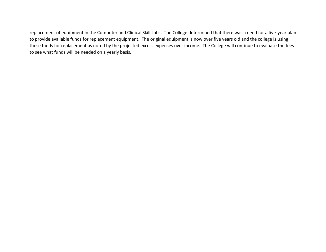replacement of equipment in the Computer and Clinical Skill Labs. The College determined that there was a need for a five-year plan to provide available funds for replacement equipment. The original equipment is now over five years old and the college is using these funds for replacement as noted by the projected excess expenses over income. The College will continue to evaluate the fees to see what funds will be needed on a yearly basis.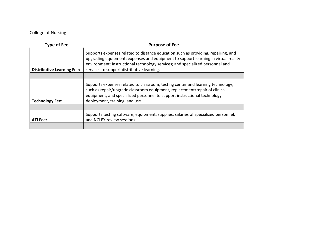# College of Nursing

| <b>Type of Fee</b>                | <b>Purpose of Fee</b>                                                                                                                                                                                                                                                                                  |
|-----------------------------------|--------------------------------------------------------------------------------------------------------------------------------------------------------------------------------------------------------------------------------------------------------------------------------------------------------|
| <b>Distributive Learning Fee:</b> | Supports expenses related to distance education such as providing, repairing, and<br>upgrading equipment; expenses and equipment to support learning in virtual reality<br>environment; instructional technology services; and specialized personnel and<br>services to support distributive learning. |
|                                   |                                                                                                                                                                                                                                                                                                        |
| <b>Technology Fee:</b>            | Supports expenses related to classroom, testing center and learning technology,<br>such as repair/upgrade classroom equipment, replacement/repair of clinical<br>equipment, and specialized personnel to support instructional technology<br>deployment, training, and use.                            |
|                                   |                                                                                                                                                                                                                                                                                                        |
| <b>ATI Fee:</b>                   | Supports testing software, equipment, supplies, salaries of specialized personnel,<br>and NCLEX review sessions.                                                                                                                                                                                       |
|                                   |                                                                                                                                                                                                                                                                                                        |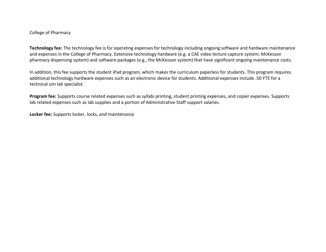#### College of Pharmacy

**Technology fee:** The technology fee is for operating expenses for technology including ongoing software and hardware maintenance and expenses in the College of Pharmacy. Extensive technology hardware (e.g. a CAE video lecture capture system; McKesson pharmacy dispensing system) and software packages (e.g., the McKesson system) that have significant ongoing maintenance costs.

In addition, this fee supports the student iPad program, which makes the curriculum paperless for students. This program requires additional technology hardware expenses such as an electronic device for students. Additional expenses include .50 FTE for a technical sim lab specialist.

**Program fee:** Supports course related expenses such as syllabi printing, student printing expenses, and copier expenses. Supports lab related expenses such as lab supplies and a portion of Administrative Staff support salaries.

**Locker fee:** Supports locker, locks, and maintenance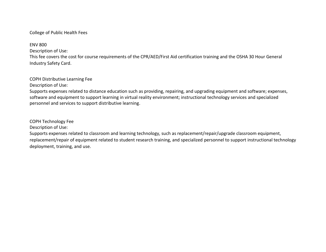# College of Public Health Fees

ENV 800

Description of Use:

This fee covers the cost for course requirements of the CPR/AED/First Aid certification training and the OSHA 30 Hour General Industry Safety Card.

# COPH Distributive Learning Fee

Description of Use:

Supports expenses related to distance education such as providing, repairing, and upgrading equipment and software; expenses, software and equipment to support learning in virtual reality environment; instructional technology services and specialized personnel and services to support distributive learning.

COPH Technology Fee

Description of Use:

Supports expenses related to classroom and learning technology, such as replacement/repair/upgrade classroom equipment, replacement/repair of equipment related to student research training, and specialized personnel to support instructional technology deployment, training, and use.